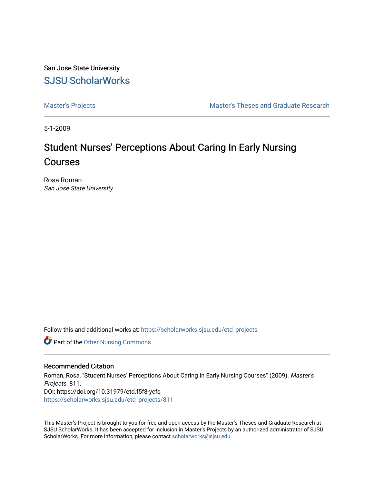San Jose State University [SJSU ScholarWorks](https://scholarworks.sjsu.edu/) 

[Master's Projects](https://scholarworks.sjsu.edu/etd_projects) [Master's Theses and Graduate Research](https://scholarworks.sjsu.edu/etd) 

5-1-2009

# Student Nurses' Perceptions About Caring In Early Nursing Courses

Rosa Roman San Jose State University

Follow this and additional works at: [https://scholarworks.sjsu.edu/etd\\_projects](https://scholarworks.sjsu.edu/etd_projects?utm_source=scholarworks.sjsu.edu%2Fetd_projects%2F811&utm_medium=PDF&utm_campaign=PDFCoverPages) 

Part of the [Other Nursing Commons](http://network.bepress.com/hgg/discipline/729?utm_source=scholarworks.sjsu.edu%2Fetd_projects%2F811&utm_medium=PDF&utm_campaign=PDFCoverPages)

#### Recommended Citation

Roman, Rosa, "Student Nurses' Perceptions About Caring In Early Nursing Courses" (2009). Master's Projects. 811. DOI: https://doi.org/10.31979/etd.f5f8-ycfq [https://scholarworks.sjsu.edu/etd\\_projects/811](https://scholarworks.sjsu.edu/etd_projects/811?utm_source=scholarworks.sjsu.edu%2Fetd_projects%2F811&utm_medium=PDF&utm_campaign=PDFCoverPages) 

This Master's Project is brought to you for free and open access by the Master's Theses and Graduate Research at SJSU ScholarWorks. It has been accepted for inclusion in Master's Projects by an authorized administrator of SJSU ScholarWorks. For more information, please contact [scholarworks@sjsu.edu](mailto:scholarworks@sjsu.edu).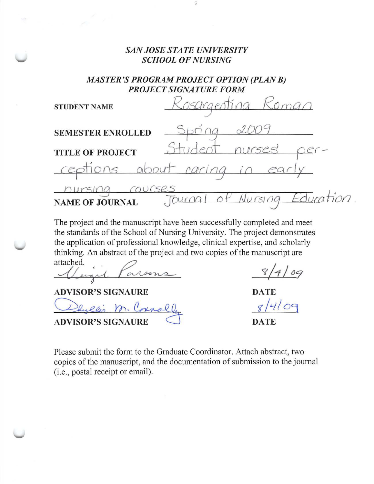### *SAN JOSE STATE UNIVERSITY SCHOOL OF NURSING*

*MASTER'S PROGRAM PROJECT OPTION (PLAN B) PROJECT SIGNATURE FORM* 

| <b>STUDENT NAME</b>      | osargenting                  |
|--------------------------|------------------------------|
| <b>SEMESTER ENROLLED</b> |                              |
| <b>TITLE OF PROJECT</b>  | nurses                       |
|                          | ceptions about caring in ear |
| <b>NAME OF JOURNAL</b>   | Education.<br>ای با          |

The project and the manuscript have been successfully completed and meet the standards of the School of Nursing University. The project demonstrates the application of professional knowledge, clinical expertise, and scholarly thinking. An abstract of the project and two copies of the manuscript are attached.<br> *S/4/09* 

Vigil Parsons<br>VISOR'S SIGNAURE<br>Dhyllis M. Cornal

 $8/4109$ 

**ADVISOR'S SIGNAURE** 

**ADVISOR'S SIGNAURE** 

**DATE** 

**DATE** 

Please submit the form to the Graduate Coordinator. Attach abstract, two copies of the manuscript, and the documentation of submission to the journal (i.e., postal receipt or email).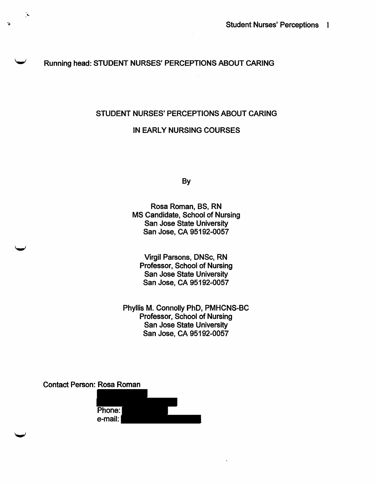### Running head: STUDENT NURSES' PERCEPTIONS ABOUT CARING

#### STUDENT NURSES' PERCEPTIONS ABOUT CARING

#### IN EARLY NURSING COURSES

By

Rosa Roman, BS, RN MS Candidate, School of Nursing San Jose State University San Jose, CA 95192-0057

Virgil Parsons, DNSc, RN Professor, School of Nursing San Jose State University San Jose, CA 95192-0057

Phyllis M. Connolly PhD, PMHCNS-BC Professor, School of Nursing San Jose State University San Jose, CA 95192-0057

Contact Person: Rosa Roman

 $\mathbf{\hat{X}}$ 

| Phone:  |  |
|---------|--|
| e-mail: |  |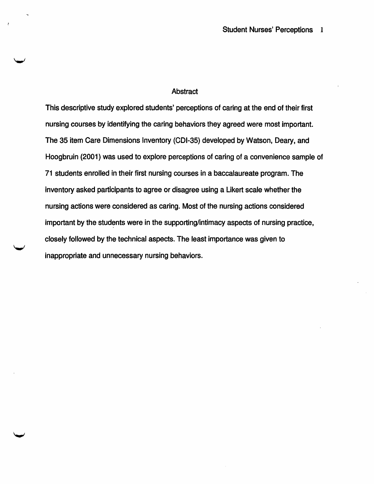#### **Abstract**

This descriptive study explored students' perceptions of caring at the end of their first nursing courses by identifying the caring behaviors they agreed were most important. The 35 item Care Dimensions Inventory (CDI-35) developed by Watson, Deary, and Hoogbruin (2001) was used to explore perceptions of caring of a convenience sample of 71 students enrolled in their first nursing courses in a baccalaureate program. The inventory asked participants to agree or disagree using a Likert scale whether the nursing actions were considered as caring. Most of the nursing actions considered important by the students were in the supporting/intimacy aspects of nursing practice, closely followed by the technical aspects. The least importance was given to inappropriate and unnecessary nursing behaviors.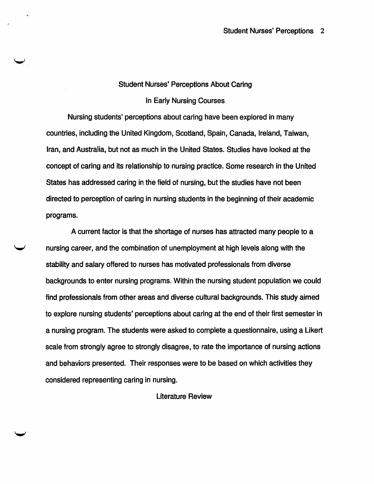#### Student Nurses' Perceptions About Caring

#### In Early Nursing Courses

Nursing students' perceptions about caring have been explored in many countries, including the United Kingdom, Scotland, Spain, Canada, Ireland, Taiwan, Iran, and Australia, but not as much in the United States. Studies have looked at the concept of caring and its relationship to nursing practice. Some research in the United States has addressed caring in the field of nursing, but the studies have not been directed to perception of caring in nursing students in the beginning of their academic programs.

A current factor is that the shortage of nurses has attracted many people to a nursing career, and the combination of unemployment at high levels along with the stability and salary offered to nurses has motivated professionals from diverse backgrounds to enter nursing programs. Within the nursing student population we could find professionals from other areas and diverse cultural backgrounds. This study aimed to explore nursing students' perceptions about caring at the end of their first semester in a nursing program. The students were asked to complete a questionnaire, using a Likert scale from strongly agree to strongly disagree, to rate the importance of nursing actions and behaviors presented. Their responses were to be based on which activities they considered representing caring in nursing.

#### Literature Review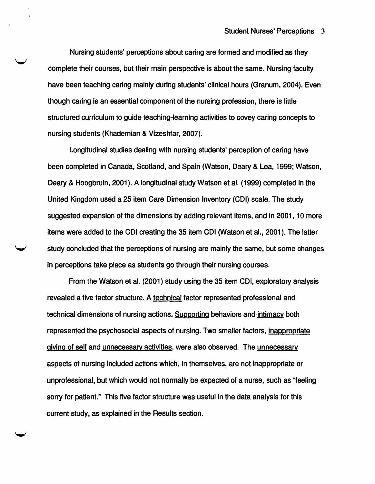Nursing students' perceptions about caring are formed and modified as they complete their courses, but their main perspective is about the same. Nursing faculty have been teaching caring mainly during students' clinical hours (Granum, 2004). Even though caring is an essential component of the nursing profession, there is little structured curriculum to guide teaching-learning activities to covey caring concepts to nursing students (Khademian & Vizeshfar, 2007).

Longitudinal studies dealing with nursing students' perception of caring have been completed in Canada, Scotland, and Spain (Watson, Deary & Lea, 1999; Watson, Deary & Hoogbruin, 2001). A longitudinal study Watson et al. (1999) completed in the United Kingdom used a 25 item Care Dimension Inventory (CDI) scale. The study suggested expansion of the dimensions by adding relevant items, and in 2001, 10 more items were added to the CDI creating the 35 item CDI (Watson et al., 2001). The latter study concluded that the perceptions of nursing are mainly the same, but some changes in perceptions take place as students go through their nursing courses.

From the Watson et al. (2001) study using the 35 item CDI, exploratory analysis revealed a five factor structure. A technical factor represented professional and technical dimensions of nursing actions. Supporting behaviors and intimacy both represented the psychosocial aspects of nursing. Two smaller factors, inappropriate giving of self and unnecessary activities, were also observed. The unnecessary aspects of nursing included actions which, in themselves, are not inappropriate or unprofessional, but which would not normally be expected of a nurse, such as "feeling sorry for patient." This five factor structure was useful in the data analysis for this current study, as explained in the Results section.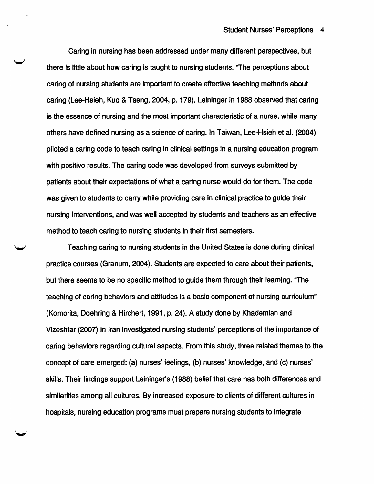Caring in nursing has been addressed under many different perspectives, but there is little about how caring is taught to nursing students. "The perceptions about caring of nursing students are important to create effective teaching methods about caring (Lee-Hsieh, Kuo & Tseng, 2004, p. 179). Leininger in 1988 observed that caring is the essence of nursing and the most important characteristic of a nurse, while many others have defined nursing as a science of caring. In Taiwan, Lee-Hsieh et al. (2004) piloted a caring code to teach caring in clinical settings in a nursing education program with positive results. The caring code was developed from surveys submitted by patients about their expectations of what a caring nurse would do for them. The code was given to students to carry while providing care in clinical practice to guide their nursing interventions, and was well accepted by students and teachers as an effective method to teach caring to nursing students in their first semesters.

Teaching caring to nursing students in the United States is done during clinical practice courses (Granum, 2004). Students are expected to care about their patients, but there seems to be no specific method to guide them through their learning. ''The teaching of caring behaviors and attitudes is a basic component of nursing curriculum" (Komorita, Doehring & Hirchert, 1991, p. 24). A study done by Khademian and Vizeshfar (2007) in Iran investigated nursing students' perceptions of the importance of caring behaviors regarding cultural aspects. From this study, three related themes to the concept of care emerged: (a) nurses' feelings, (b) nurses' knowledge, and (c) nurses' skills. Their findings support Leininger's (1988) belief that care has both differences and similarities among all cultures. By increased exposure to clients of different cultures in hospitals, nursing education programs must prepare nursing students to integrate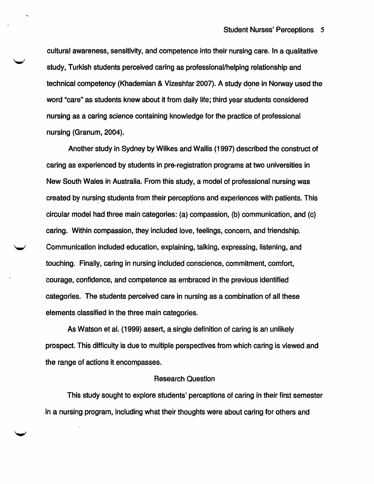cultural awareness, sensitivity, and competence into their nursing care. In a qualitative study, Turkish students perceived caring as professional/helping relationship and technical competency (Khademian & Vizeshfar 2007). A study done in Norway used the word "care" as students knew about it from daily life; third year students considered nursing as a caring science containing knowledge for the practice of professional nursing (Granum, 2004).

Another study in Sydney by Wilkes and Wallis ( 1997) described the construct of caring as experienced by students in pre-registration programs at two universities in New South Wales in Australia. From this study, a model of professional nursing was created by nursing students from their perceptions and experiences with patients. This circular model had three main categories: (a) compassion, (b) communication, and (c) caring. Within compassion, they included love, feelings, concern, and friendship. Communication included education, explaining, talking, expressing, listening, and touching. Finally, caring in nursing included conscience, commitment, comfort, courage, confidence, and competence as embraced in the previous identified categories. The students perceived care in nursing as a combination of all these elements classified in the three main categories.

As Watson et al. {1999) assert, a single definition of caring is an unlikely prospect. This difficulty is due to multiple perspectives from which caring is viewed and the range of actions it encompasses.

#### Research Question

This study sought to explore students' perceptions of caring in their first semester in a nursing program, including what their thoughts were about caring for others and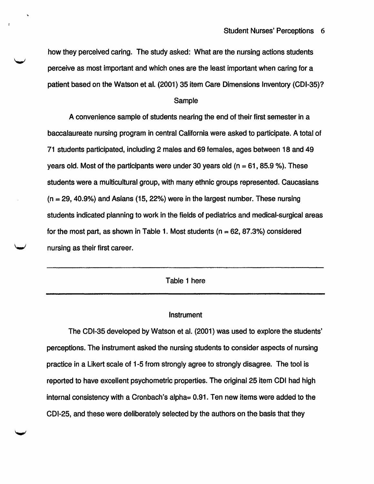how they perceived caring. The study asked: What are the nursing actions students perceive as most important and which ones are the least important when caring for a patient based on the Watson et al. (2001) 35 item Care Dimensions Inventory (CDI-35)?

#### Sample

A convenience sample of students nearing the end of their first semester in a baccalaureate nursing program in central California were asked to participate. A total of 71 students participated, including 2 males and 69 females, ages between 18 and 49 years old. Most of the participants were under 30 years old ( $n = 61$ , 85.9 %). These students were a multicultural group, with many ethnic groups represented. Caucasians  $(n = 29, 40.9\%)$  and Asians (15, 22%) were in the largest number. These nursing students indicated planning to work in the fields of pediatrics and medical-surgical areas for the most part, as shown in Table 1. Most students ( $n = 62, 87.3\%$ ) considered nursing as their first career.

Table 1 here

#### **Instrument**

The CDI-35 developed by Watson et al. (2001) was used to explore the students' perceptions. The instrument asked the nursing students to consider aspects of nursing practice in a Likert scale of 1-5 from strongly agree to strongly disagree. The tool is reported to have excellent psychometric properties. The original25 item CDI had high internal consistency with a Cronbach's alpha= 0.91. Ten new items were added to the CDI-25, and these were deliberately selected by the authors on the basis that they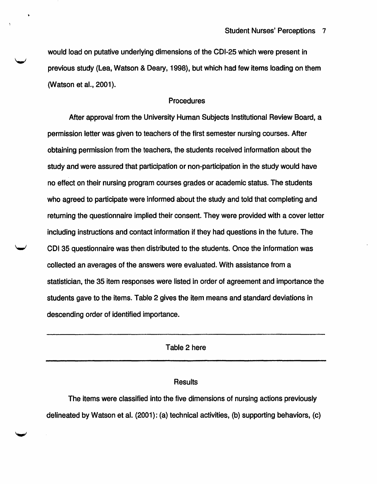would load on putative underlying dimensions of the CDI-25 which were present in previous study (Lea, Watson & Deary, 1998), but which had few items loading on them (Watson et al., 2001).

#### Procedures

After approval from the University Human Subjects Institutional Review Board, a permission letter was given to teachers of the first semester nursing courses. After obtaining permission from the teachers, the students received information about the study and were assured that participation or non-participation in the study would have no effect on their nursing program courses grades or academic status. The students who agreed to participate were informed about the study and told that completing and returning the questionnaire implied their consent. They were provided with a cover letter including instructions and contact information if they had questions in the future. The CDI35 questionnaire was then distributed to the students. Once the information was collected an averages of the answers were evaluated. With assistance from a statistician, the 35 item responses were listed in order of agreement and importance the students gave to the items. Table 2 gives the item means and standard deviations in descending order of identified importance.

Table 2 here

#### **Results**

The items were classified into the five dimensions of nursing actions previously delineated by Watson et al. (2001): (a) technical activities, (b) supporting behaviors, (c)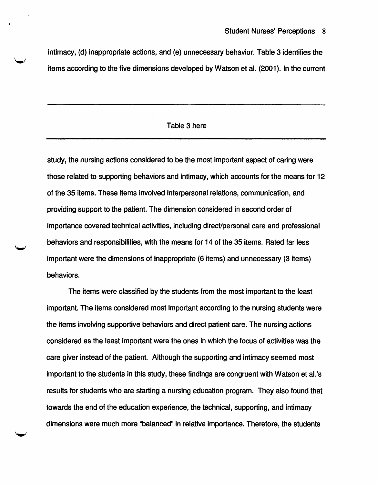intimacy, (d) inappropriate actions, and (e) unnecessary behavior. Table 3 identifies the items according to the five dimensions developed by Watson et al. (2001). In the current

#### Table 3 here

study, the nursing actions considered to be the most important aspect of caring were those related to supporting behaviors and intimacy, which accounts for the means for 12 of the 35 items. These items involved interpersonal relations, communication, and providing support to the patient. The dimension considered in second order of importance covered technical activities, including direct/personal care and professional behaviors and responsibilities, with the means for 14 of the 35 items. Rated far less important were the dimensions of inappropriate (6 items) and unnecessary (3 items) behaviors.

The items were classified by the students from the most important to the least important. The items considered most important according to the nursing students were the items involving supportive behaviors and direct patient care. The nursing actions considered as the least important were the ones in which the focus of activities was the care giver instead of the patient. Although the supporting and intimacy seemed most important to the students in this study, these findings are congruent with Watson et al. 's results for students who are starting a nursing education program. They also found that towards the end of the education experience, the technical, supporting, and intimacy dimensions were much more "balanced" in relative importance. Therefore, the students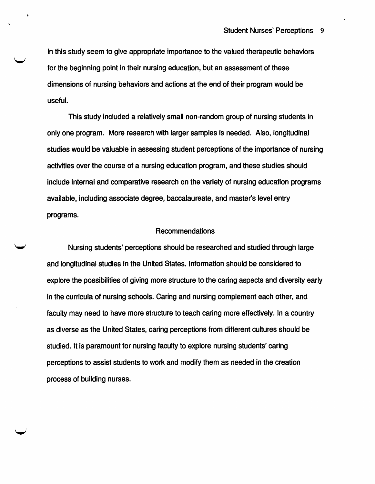in this study seem to give appropriate importance to the valued therapeutic behaviors for the beginning point in their nursing education, but an assessment of these dimensions of nursing behaviors and actions at the end of their program would be useful.

This study included a relatively small non-random group of nursing students in only one program. More research with larger samples is needed. Also, longitudinal studies would be valuable in assessing student perceptions of the importance of nursing activities over the course of a nursing education program, and these studies should include internal and comparative research on the variety of nursing education programs available, including associate degree, baccalaureate, and master's level entry programs.

#### Recommendations

Nursing students' perceptions should be researched and studied through large and longitudinal studies in the United States. Information should be considered to explore the possibilities of giving more structure to the caring aspects and diversity early in the curricula of nursing schools. Caring and nursing complement each other, and faculty may need to have more structure to teach caring more effectively. In a country as diverse as the United States, caring perceptions from different cultures should be studied. It is paramount for nursing faculty to explore nursing students' caring perceptions to assist students to work and modify them as needed in the creation process of building nurses.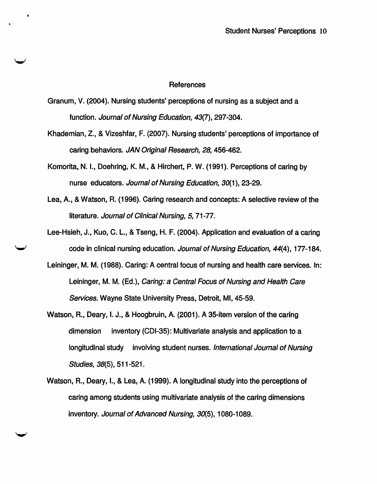#### References

Granum, V. (2004). Nursing students' perceptions of nursing as a subject and a function. Journal of Nursing Education, 43(7), 297-304.

..

- Khademian, Z., & Vizeshfar, F. (2007). Nursing students' perceptions of importance of caring behaviors. JAN Original Research, 28, 456-462.
- Komorita, N. 1., Doehring, K. M., & Hirchert, P. W. (1991). Perceptions of caring by nurse educators. Journal of Nursing Education, 30(1 ), 23-29.
- Lea, A., & Watson, R. (1996). Caring research and concepts: A selective review of the literature. Journal of Clinical Nursing, 5, 71-77.
- Lee-Hsieh, J., Kuo, C. L., & Tseng, H. F. (2004). Application and evaluation of a caring code in clinical nursing education. Journal of Nursing Education, 44(4), 177-184.
- Leininger, M. M. (1988). Caring: A central focus of nursing and health care services. In: Leininger, M. M. (Ed.), Caring: a Central Focus of Nursing and Health Care Services. Wayne State University Press, Detroit, Ml, 45-59.
- Watson, R., Deary, I. J., & Hoogbruin, A. (2001 ). A 35-item version of the caring dimension inventory (CDI-35): Multivariate analysis and application to a longitudinal study involving student nurses. International Journal of Nursing Studies, 38(5), 511-521.
- Watson, R., Deary, 1., & Lea, A. (1999). A longitudinal study into the perceptions of caring among students using multivariate analysis of the caring dimensions inventory. Journal of Advanced Nursing, 30(5), 1080-1089.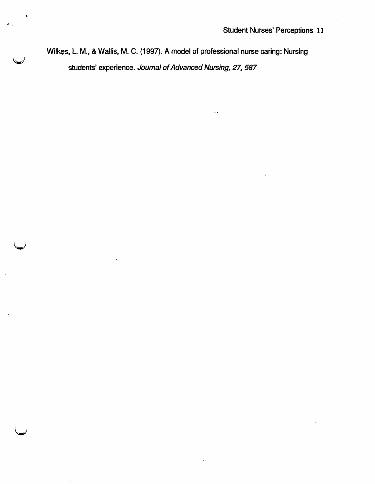students' experience. Journal of Advanced Nursing, 27, 587 Wilkes, L. M., & Wallis, M. C. (1997). A model of professional nurse caring: Nursing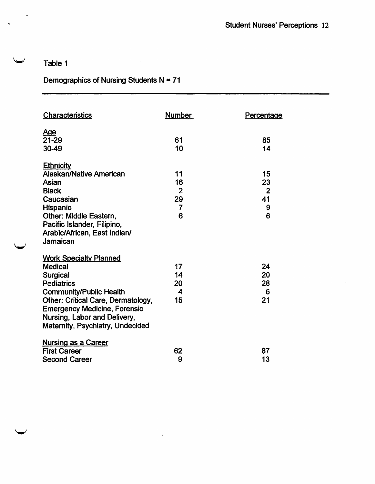## Table 1

 $\hat{\mathbf{a}}$ 

 $\blacktriangleright$ 

## Demographics of Nursing Students  $N = 71$

| <b>Characteristics</b>              | <b>Number</b>  | Percentage     |
|-------------------------------------|----------------|----------------|
| <u>Age</u><br>21-29                 | 61             | 85             |
| 30-49                               | 10             | 14             |
| <b>Ethnicity</b>                    |                |                |
| <b>Alaskan/Native American</b>      | 11             | 15             |
| Asian                               | 16             | 23             |
| <b>Black</b>                        | $\overline{2}$ | $\overline{2}$ |
| Caucasian                           | 29             | 41             |
| <b>Hispanic</b>                     | $\overline{7}$ | 9              |
| Other: Middle Eastern,              | 6              | 6              |
| Pacific Islander, Filipino,         |                |                |
| Arabic/African, East Indian/        |                |                |
| Jamaican                            |                |                |
| <b>Work Specialty Planned</b>       |                |                |
| <b>Medical</b>                      | 17             | 24             |
| Surgical                            | 14             | 20             |
| <b>Pediatrics</b>                   | 20             | 28             |
| <b>Community/Public Health</b>      | 4              | 6              |
| Other: Critical Care, Dermatology,  | 15             | 21             |
| <b>Emergency Medicine, Forensic</b> |                |                |
| Nursing, Labor and Delivery,        |                |                |
| Maternity, Psychiatry, Undecided    |                |                |
| <b>Nursing as a Career</b>          |                |                |
| <b>First Career</b>                 | 62             | 87             |
| <b>Second Career</b>                | 9              | 13             |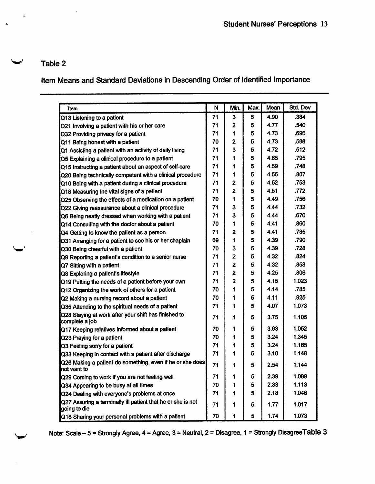## Table 2

 $\epsilon$ 

س

 $\ddot{\phantom{0}}$ 

# Item Means and Standard Deviations in Descending Order of Identified Importance

| Item                                                                        | N  | Min.           | Max. | Mean | Std. Dev |
|-----------------------------------------------------------------------------|----|----------------|------|------|----------|
| Q13 Listening to a patient                                                  | 71 | 3              | 5    | 4.90 | .384     |
| Q21 Involving a patient with his or her care                                | 71 | 2              | 5    | 4.77 | .540     |
| Q32 Providing privacy for a patient                                         | 71 | 1              | 5    | 4.73 | .696     |
| Q11 Being honest with a patient                                             | 70 | 2              | 5    | 4.73 | .588     |
| Q1 Assisting a patient with an activity of daily living                     | 71 | 3              | 5    | 4.72 | .512     |
| Q5 Explaining a clinical procedure to a patient                             | 71 | 1              | 5    | 4.65 | .795     |
| Q15 instructing a patient about an aspect of self-care                      | 71 | 1              | 5    | 4.59 | .748     |
| Q20 Being technically competent with a clinical procedure                   | 71 | 1              | 5    | 4.55 | .807     |
| Q10 Being with a patient during a clinical procedure                        | 71 | 2              | 5    | 4.52 | .753     |
| Q18 Measuring the vital signs of a patient                                  | 71 | $\overline{2}$ | 5    | 4.51 | .772     |
| Q25 Observing the effects of a medication on a patient                      | 70 | 1              | 5    | 4.49 | .756     |
| Q22 Giving reassurance about a clinical procedure                           | 71 | 3              | 5    | 4.44 | .732     |
| Q6 Being neatly dressed when working with a patient                         | 71 | 3              | 5    | 4.44 | .670     |
| Q14 Consulting with the doctor about a patient                              | 70 | 1              | 5    | 4.41 | .860     |
| Q4 Getting to know the patient as a person                                  | 71 | $\overline{2}$ | 5    | 4.41 | .785     |
| Q31 Arranging for a patient to see his or her chaplain                      | 69 | 1              | 5    | 4.39 | .790     |
| Q30 Being cheerful with a patient                                           | 70 | 3              | 5    | 4.39 | .728     |
| Q9 Reporting a patient's condition to a senior nurse                        | 71 | $\overline{2}$ | 5    | 4.32 | .824     |
| Q7 Sitting with a patient                                                   | 71 | 2              | 5    | 4.32 | .858     |
| Q8 Exploring a patient's lifestyle                                          | 71 | 2              | 5    | 4.25 | .806     |
| Q19 Putting the needs of a patient before your own                          | 71 | $\overline{2}$ | 5    | 4.15 | 1.023    |
| Q12 Organizing the work of others for a patient                             | 70 | 1              | 5    | 4.14 | .785     |
| Q2 Making a nursing record about a patient                                  | 70 | 1              | 5    | 4.11 | .925     |
| Q35 Attending to the spiritual needs of a patient                           | 71 | 1              | 5    | 4.07 | 1.073    |
| Q28 Staying at work after your shift has finished to<br>complete a job      | 71 | 1              | 5    | 3.75 | 1.105    |
| Q17 Keeping relatives informed about a patient                              | 70 | 1              | 5    | 3.63 | 1.052    |
| Q23 Praying for a patient                                                   | 70 | 1              | 5    | 3.24 | 1.345    |
| Q3 Feeling sorry for a patient                                              | 71 | 1              | 5    | 3.24 | 1.165    |
| Q33 Keeping in contact with a patient after discharge                       | 71 | 1              | 5    | 3.10 | 1.148    |
| Q26 Making a patient do something, even if he or she does<br>not want to    | 71 | 1              | 5    | 2.54 | 1.144    |
| Q29 Coming to work if you are not feeling well                              | 71 | ٦              | 5    | 2.39 | 1.089    |
| Q34 Appearing to be busy at all times                                       | 70 | 1              | 5    | 2.33 | 1.113    |
| Q24 Dealing with everyone's problems at once                                | 71 | 1              | 5    | 2.18 | 1.046    |
| Q27 Assuring a terminally ill patient that he or she is not<br>going to die | 71 | 1              | 5    | 1.77 | 1.017    |
| Q16 Sharing your personal problems with a patient                           | 70 | 1              | 5    | 1.74 | 1.073    |

Note: Scale - 5 = Strongly Agree, 4 = Agree, 3 = Neutral, 2 = Disagree, 1 = Strongly Disagree Table 3